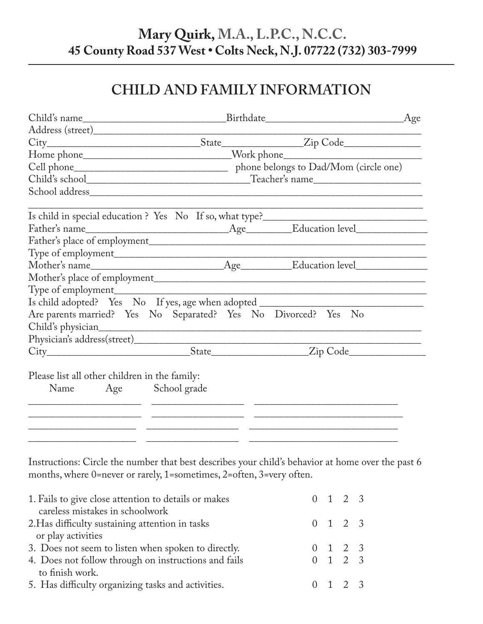## **Mary Quirk, M.A., L.P.C., N.C.C. 45 County Road 537 West • Colts Neck, N.J. 07722 (732) 303-7999**

# **CHILD AND FAMILY INFORMATION**

|                                                                                   |  | Age                                                                                                                   |  |
|-----------------------------------------------------------------------------------|--|-----------------------------------------------------------------------------------------------------------------------|--|
|                                                                                   |  |                                                                                                                       |  |
|                                                                                   |  |                                                                                                                       |  |
| Home phone_______________________________Work phone_____________________________  |  |                                                                                                                       |  |
|                                                                                   |  |                                                                                                                       |  |
|                                                                                   |  |                                                                                                                       |  |
|                                                                                   |  |                                                                                                                       |  |
| Is child in special education ? Yes No If so, what type?_________________________ |  |                                                                                                                       |  |
|                                                                                   |  |                                                                                                                       |  |
|                                                                                   |  |                                                                                                                       |  |
|                                                                                   |  |                                                                                                                       |  |
|                                                                                   |  |                                                                                                                       |  |
|                                                                                   |  |                                                                                                                       |  |
|                                                                                   |  | <u> 1989 - Johann John Stone, market fan it ferstjer fan de fan it ferstjer fan it ferstjer fan it ferstjer fan i</u> |  |
| Is child adopted? Yes No If yes, age when adopted ______________________________  |  |                                                                                                                       |  |
| Are parents married? Yes No Separated? Yes No Divorced? Yes No                    |  |                                                                                                                       |  |
|                                                                                   |  |                                                                                                                       |  |
|                                                                                   |  |                                                                                                                       |  |
|                                                                                   |  |                                                                                                                       |  |
| Please list all other children in the family:                                     |  |                                                                                                                       |  |
| Name Age School grade                                                             |  |                                                                                                                       |  |
|                                                                                   |  |                                                                                                                       |  |
|                                                                                   |  |                                                                                                                       |  |
|                                                                                   |  |                                                                                                                       |  |
|                                                                                   |  |                                                                                                                       |  |

Instructions: Circle the number that best describes your child's behavior at home over the past 6 months, where 0=never or rarely, 1=sometimes, 2=often, 3=very often.

| 1. Fails to give close attention to details or makes |  | $0 \t1 \t2 \t3$ |  |
|------------------------------------------------------|--|-----------------|--|
| careless mistakes in schoolwork                      |  |                 |  |
| 2. Has difficulty sustaining attention in tasks      |  | $0 \t1 \t2 \t3$ |  |
| or play activities                                   |  |                 |  |
| 3. Does not seem to listen when spoken to directly.  |  | $0 \t1 \t2 \t3$ |  |
| 4. Does not follow through on instructions and fails |  | $0 \t1 \t2 \t3$ |  |
| to finish work.                                      |  |                 |  |
| 5. Has difficulty organizing tasks and activities.   |  | $0 \t1 \t2 \t3$ |  |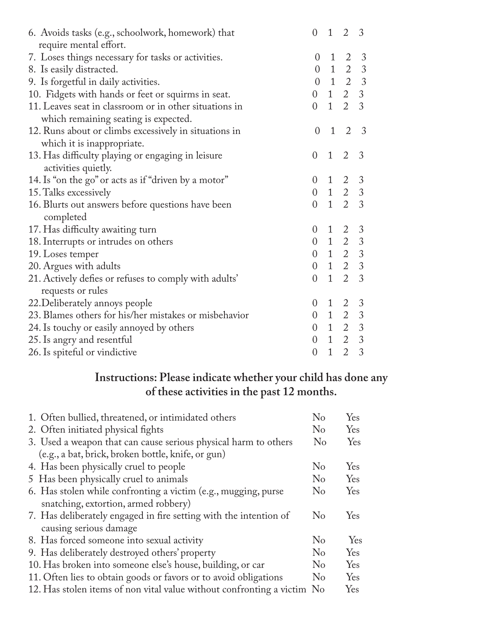| 6. Avoids tasks (e.g., schoolwork, homework) that      | $\overline{0}$   | 1              | 2                                                                                                  | 3              |
|--------------------------------------------------------|------------------|----------------|----------------------------------------------------------------------------------------------------|----------------|
| require mental effort.                                 |                  |                |                                                                                                    |                |
| 7. Loses things necessary for tasks or activities.     |                  | 0 <sub>1</sub> |                                                                                                    | $2 \quad 3$    |
| 8. Is easily distracted.                               |                  |                | $0 \quad 1 \quad 2 \quad 3$                                                                        |                |
| 9. Is forgetful in daily activities.                   |                  |                | $\begin{matrix} 0 & 1 & 2 & 3 \end{matrix}$                                                        |                |
| 10. Fidgets with hands or feet or squirms in seat.     |                  |                | $0 \quad 1 \quad 2 \quad 3$                                                                        |                |
| 11. Leaves seat in classroom or in other situations in | $\Omega$         |                | $1\quad 2\quad 3$                                                                                  |                |
| which remaining seating is expected.                   |                  |                |                                                                                                    |                |
| 12. Runs about or climbs excessively in situations in  | $\overline{0}$   | $\mathbf{1}$   | 2                                                                                                  | 3              |
| which it is inappropriate.                             |                  |                |                                                                                                    |                |
| 13. Has difficulty playing or engaging in leisure      | $\overline{0}$   | $\mathbf{1}$   | 2                                                                                                  | 3              |
| activities quietly.                                    |                  |                |                                                                                                    |                |
| 14. Is "on the go" or acts as if "driven by a motor"   |                  |                |                                                                                                    |                |
| 15. Talks excessively                                  |                  |                | $\begin{array}{cccc} 0 & 1 & 2 & 3 \\ 0 & 1 & 2 & 3 \end{array}$                                   |                |
| 16. Blurts out answers before questions have been      | $\overline{0}$   |                | $1\quad 2\quad 3$                                                                                  |                |
| completed                                              |                  |                |                                                                                                    |                |
| 17. Has difficulty awaiting turn                       | $\boldsymbol{0}$ | 1              | $2 \quad 3$                                                                                        |                |
| 18. Interrupts or intrudes on others                   |                  |                | $0 \quad 1 \quad 2 \quad 3$                                                                        |                |
| 19. Loses temper                                       |                  |                |                                                                                                    |                |
| 20. Argues with adults                                 |                  |                | $\begin{array}{cccc} 0 & 1 & 2 & 3 \\ 0 & 1 & 2 & 3 \end{array}$                                   |                |
| 21. Actively defies or refuses to comply with adults'  | $\overline{0}$   |                | $1\quad 2$                                                                                         | $\overline{3}$ |
| requests or rules                                      |                  |                |                                                                                                    |                |
| 22. Deliberately annoys people                         | $\theta$         | $\mathbf{1}$   | $2 \quad 3$                                                                                        |                |
| 23. Blames others for his/her mistakes or misbehavior  |                  |                | $\begin{array}{cccc} 0 & 1 & 2 & 3 \\ 0 & 1 & 2 & 3 \\ 0 & 1 & 2 & 3 \\ 0 & 1 & 2 & 3 \end{array}$ |                |
| 24. Is touchy or easily annoyed by others              |                  |                |                                                                                                    |                |
| 25. Is angry and resentful                             |                  |                |                                                                                                    |                |
| 26. Is spiteful or vindictive                          | $\overline{0}$   | $\mathbf{1}$   | $\overline{2}$                                                                                     | $\overline{3}$ |

#### **Instructions: Please indicate whether your child has done any of these activities in the past 12 months.**

| 1. Often bullied, threatened, or intimidated others                     | $\rm No$       | Yes |
|-------------------------------------------------------------------------|----------------|-----|
| 2. Often initiated physical fights                                      | $\rm No$       | Yes |
| 3. Used a weapon that can cause serious physical harm to others         | $\rm No$       | Yes |
| (e.g., a bat, brick, broken bottle, knife, or gun)                      |                |     |
| 4. Has been physically cruel to people                                  | N <sub>o</sub> | Yes |
| 5 Has been physically cruel to animals                                  | $\rm No$       | Yes |
| 6. Has stolen while confronting a victim (e.g., mugging, purse          | N <sub>o</sub> | Yes |
| snatching, extortion, armed robbery)                                    |                |     |
| 7. Has deliberately engaged in fire setting with the intention of       | N <sub>o</sub> | Yes |
| causing serious damage                                                  |                |     |
| 8. Has forced someone into sexual activity                              | N <sub>o</sub> | Yes |
| 9. Has deliberately destroyed others' property                          | N <sub>o</sub> | Yes |
| 10. Has broken into someone else's house, building, or car              | $\rm No$       | Yes |
| 11. Often lies to obtain goods or favors or to avoid obligations        | $\rm No$       | Yes |
| 12. Has stolen items of non vital value without confronting a victim No |                | Yes |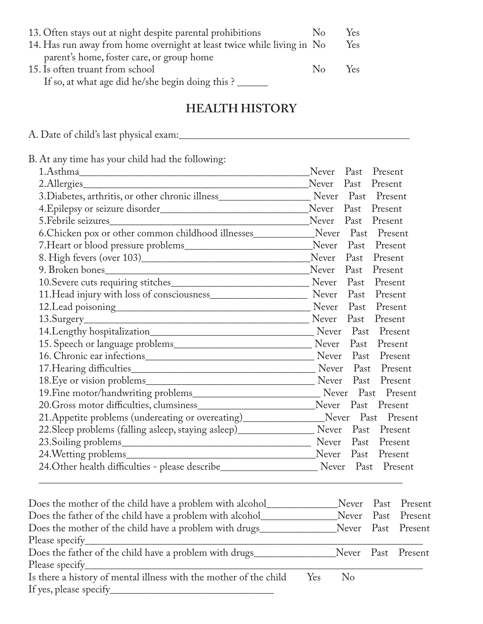| 13. Often stays out at night despite parental prohibitions             | $\mathbb{N}_0$ | Yes |
|------------------------------------------------------------------------|----------------|-----|
| 14. Has run away from home overnight at least twice while living in No |                | Yes |
| parent's home, foster care, or group home                              |                |     |
| 15. Is often truant from school                                        | $N_{\Omega}$   | Yes |
| If so, at what age did he/she begin doing this ?                       |                |     |

#### **HEALTH HISTORY**

A. Date of child's last physical exam:\_\_\_\_\_\_\_\_\_\_\_\_\_\_\_\_\_\_\_\_\_\_\_\_\_\_\_\_\_\_\_\_\_\_\_\_\_\_\_\_\_\_\_\_\_

B. At any time has your child had the following:

| 1.Asthma                                                                                             | Never      | Past       | Present            |
|------------------------------------------------------------------------------------------------------|------------|------------|--------------------|
| 2.Allergies                                                                                          | Never      | Past       | Present            |
| 3. Diabetes, arthritis, or other chronic illness________________________________                     |            |            | Never Past Present |
|                                                                                                      | Never Past |            | Present            |
|                                                                                                      | Never      | Past       | Present            |
| 6. Chicken pox or other common childhood illnesses                                                   |            |            | Never Past Present |
|                                                                                                      | Never      | Past       | Present            |
|                                                                                                      | Never      | Past       | Present            |
|                                                                                                      | Never      | Past       | Present            |
|                                                                                                      |            |            | Never Past Present |
|                                                                                                      | Never Past |            | Present            |
|                                                                                                      | Never Past |            | Present            |
|                                                                                                      | Never Past |            | Present            |
|                                                                                                      |            |            |                    |
|                                                                                                      |            | Past       | Present            |
|                                                                                                      |            |            | Present            |
|                                                                                                      |            |            | Present            |
|                                                                                                      |            | Never Past | Present            |
|                                                                                                      |            |            |                    |
|                                                                                                      |            |            | Never Past Present |
| 21. Appetite problems (undereating or overeating) ______________________________                     |            |            | Never Past Present |
| 22. Sleep problems (falling asleep, staying asleep)_____________________________                     |            |            | Never Past Present |
|                                                                                                      |            | Never Past | Present            |
|                                                                                                      |            |            | Never Past Present |
| 24. Other health difficulties - please describe__________________________________ Never Past Present |            |            |                    |
|                                                                                                      |            |            |                    |

|                                                                   |     |                    | Never Past Present |
|-------------------------------------------------------------------|-----|--------------------|--------------------|
| Does the father of the child have a problem with alcohol_         |     |                    | Never Past Present |
| Does the mother of the child have a problem with drugs_           |     |                    | Never Past Present |
| Please specify <sub>______</sub>                                  |     |                    |                    |
|                                                                   |     |                    | Never Past Present |
| Please specify <sub>_____</sub>                                   |     |                    |                    |
| Is there a history of mental illness with the mother of the child | Yes | $\overline{N}_{0}$ |                    |
| If yes, please specify_                                           |     |                    |                    |